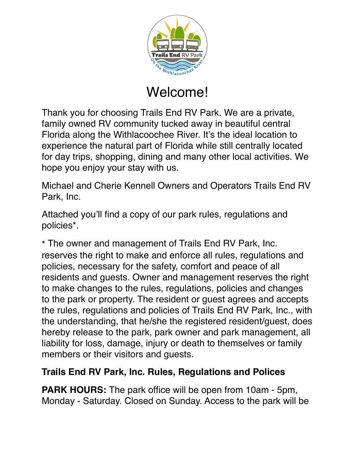

## Welcome!

Thank you for choosing Trails End RV Park. We are a private, family owned RV community tucked away in beautiful central Florida along the Withlacoochee River. It's the ideal location to experience the natural part of Florida while still centrally located for day trips, shopping, dining and many other local activities. We hope you enjoy your stay with us.

Michael and Cherie Kennell Owners and Operators Trails End RV Park, Inc.

Attached you'll find a copy of our park rules, regulations and policies\*.

\* The owner and management of Trails End RV Park, Inc. reserves the right to make and enforce all rules, regulations and policies, necessary for the safety, comfort and peace of all residents and guests. Owner and management reserves the right to make changes to the rules, regulations, policies and changes to the park or property. The resident or guest agrees and accepts the rules, regulations and policies of Trails End RV Park, Inc., with the understanding, that he/she the registered resident/guest, does hereby release to the park, park owner and park management, all liability for loss, damage, injury or death to themselves or family members or their visitors and guests.

## **Trails End RV Park, Inc. Rules, Regulations and Polices**

**PARK HOURS:** The park office will be open from 10am - 5pm, Monday - Saturday. Closed on Sunday. Access to the park will be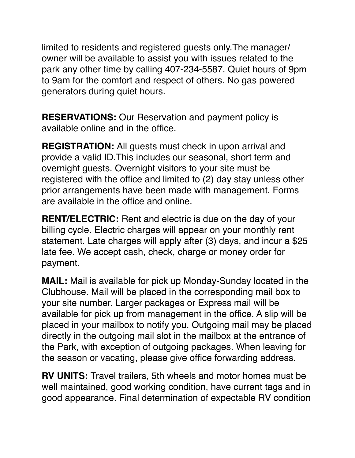limited to residents and registered guests only.The manager/ owner will be available to assist you with issues related to the park any other time by calling 407-234-5587. Quiet hours of 9pm to 9am for the comfort and respect of others. No gas powered generators during quiet hours.

**RESERVATIONS:** Our Reservation and payment policy is available online and in the office.

**REGISTRATION:** All guests must check in upon arrival and provide a valid ID.This includes our seasonal, short term and overnight guests. Overnight visitors to your site must be registered with the office and limited to (2) day stay unless other prior arrangements have been made with management. Forms are available in the office and online.

**RENT/ELECTRIC:** Rent and electric is due on the day of your billing cycle. Electric charges will appear on your monthly rent statement. Late charges will apply after (3) days, and incur a \$25 late fee. We accept cash, check, charge or money order for payment.

**MAIL:** Mail is available for pick up Monday-Sunday located in the Clubhouse. Mail will be placed in the corresponding mail box to your site number. Larger packages or Express mail will be available for pick up from management in the office. A slip will be placed in your mailbox to notify you. Outgoing mail may be placed directly in the outgoing mail slot in the mailbox at the entrance of the Park, with exception of outgoing packages. When leaving for the season or vacating, please give office forwarding address.

**RV UNITS:** Travel trailers, 5th wheels and motor homes must be well maintained, good working condition, have current tags and in good appearance. Final determination of expectable RV condition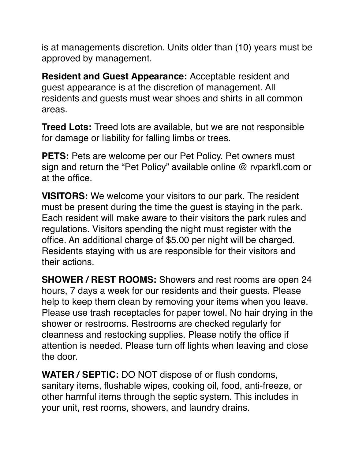is at managements discretion. Units older than (10) years must be approved by management.

**Resident and Guest Appearance:** Acceptable resident and guest appearance is at the discretion of management. All residents and guests must wear shoes and shirts in all common areas.

**Treed Lots:** Treed lots are available, but we are not responsible for damage or liability for falling limbs or trees.

**PETS:** Pets are welcome per our Pet Policy. Pet owners must sign and return the "Pet Policy" available online @ rvparkfl.com or at the office.

**VISITORS:** We welcome your visitors to our park. The resident must be present during the time the guest is staying in the park. Each resident will make aware to their visitors the park rules and regulations. Visitors spending the night must register with the office. An additional charge of \$5.00 per night will be charged. Residents staying with us are responsible for their visitors and their actions.

**SHOWER / REST ROOMS:** Showers and rest rooms are open 24 hours, 7 days a week for our residents and their guests. Please help to keep them clean by removing your items when you leave. Please use trash receptacles for paper towel. No hair drying in the shower or restrooms. Restrooms are checked regularly for cleanness and restocking supplies. Please notify the office if attention is needed. Please turn off lights when leaving and close the door.

**WATER / SEPTIC:** DO NOT dispose of or flush condoms, sanitary items, flushable wipes, cooking oil, food, anti-freeze, or other harmful items through the septic system. This includes in your unit, rest rooms, showers, and laundry drains.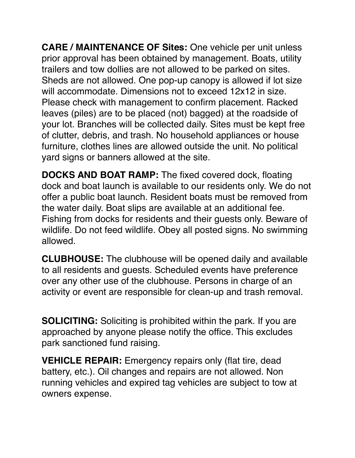**CARE / MAINTENANCE OF Sites:** One vehicle per unit unless prior approval has been obtained by management. Boats, utility trailers and tow dollies are not allowed to be parked on sites. Sheds are not allowed. One pop-up canopy is allowed if lot size will accommodate. Dimensions not to exceed 12x12 in size. Please check with management to confirm placement. Racked leaves (piles) are to be placed (not) bagged) at the roadside of your lot. Branches will be collected daily. Sites must be kept free of clutter, debris, and trash. No household appliances or house furniture, clothes lines are allowed outside the unit. No political yard signs or banners allowed at the site.

**DOCKS AND BOAT RAMP:** The fixed covered dock, floating dock and boat launch is available to our residents only. We do not offer a public boat launch. Resident boats must be removed from the water daily. Boat slips are available at an additional fee. Fishing from docks for residents and their guests only. Beware of wildlife. Do not feed wildlife. Obey all posted signs. No swimming allowed.

**CLUBHOUSE:** The clubhouse will be opened daily and available to all residents and guests. Scheduled events have preference over any other use of the clubhouse. Persons in charge of an activity or event are responsible for clean-up and trash removal.

**SOLICITING:** Soliciting is prohibited within the park. If you are approached by anyone please notify the office. This excludes park sanctioned fund raising.

**VEHICLE REPAIR:** Emergency repairs only (flat tire, dead battery, etc.). Oil changes and repairs are not allowed. Non running vehicles and expired tag vehicles are subject to tow at owners expense.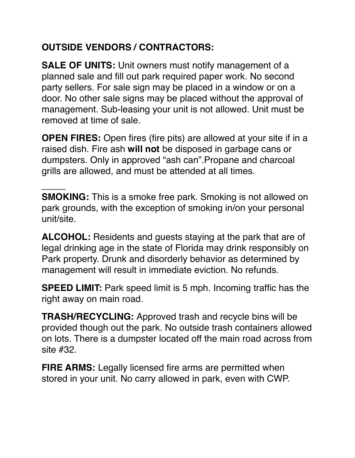## **OUTSIDE VENDORS / CONTRACTORS:**

**SALE OF UNITS:** Unit owners must notify management of a planned sale and fill out park required paper work. No second party sellers. For sale sign may be placed in a window or on a door. No other sale signs may be placed without the approval of management. Sub-leasing your unit is not allowed. Unit must be removed at time of sale.

**OPEN FIRES:** Open fires (fire pits) are allowed at your site if in a raised dish. Fire ash **will not** be disposed in garbage cans or dumpsters. Only in approved "ash can".Propane and charcoal grills are allowed, and must be attended at all times.

**SMOKING:** This is a smoke free park. Smoking is not allowed on park grounds, with the exception of smoking in/on your personal unit/site.

**ALCOHOL:** Residents and guests staying at the park that are of legal drinking age in the state of Florida may drink responsibly on Park property. Drunk and disorderly behavior as determined by management will result in immediate eviction. No refunds.

**SPEED LIMIT:** Park speed limit is 5 mph. Incoming traffic has the right away on main road.

**TRASH/RECYCLING:** Approved trash and recycle bins will be provided though out the park. No outside trash containers allowed on lots. There is a dumpster located off the main road across from site #32.

**FIRE ARMS:** Legally licensed fire arms are permitted when stored in your unit. No carry allowed in park, even with CWP.